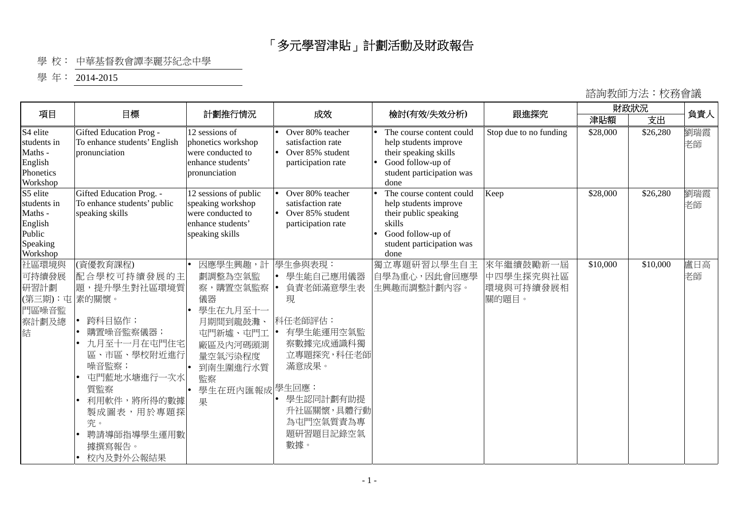## 「多元學習津貼」計劃活動及財政報告

## 學 校: 中華基督教會譚李麗芬紀念中學

學年: 2014-2015

## 諮詢教師方法︰校務會議

| 項目                                                                              | 目標                                                                                                                                                                                                   | 計劃推行情況                                                                                                                             | 成效                                                                                                                                                                      | 檢討(有效/失效分析)                                                                                                                                    | 跟進探究                                         | 財政狀況     |          | 負責人       |
|---------------------------------------------------------------------------------|------------------------------------------------------------------------------------------------------------------------------------------------------------------------------------------------------|------------------------------------------------------------------------------------------------------------------------------------|-------------------------------------------------------------------------------------------------------------------------------------------------------------------------|------------------------------------------------------------------------------------------------------------------------------------------------|----------------------------------------------|----------|----------|-----------|
|                                                                                 |                                                                                                                                                                                                      |                                                                                                                                    |                                                                                                                                                                         |                                                                                                                                                |                                              | 津貼額      | 支出       |           |
| S4 elite<br>students in<br>Maths -<br>English<br>Phonetics<br>Workshop          | Gifted Education Prog -<br>To enhance students' English<br>pronunciation                                                                                                                             | 12 sessions of<br>phonetics workshop<br>were conducted to<br>enhance students'<br>pronunciation                                    | Over 80% teacher<br>satisfaction rate<br>Over 85% student<br>participation rate                                                                                         | The course content could<br>help students improve<br>their speaking skills<br>Good follow-up of<br>student participation was<br>done           | Stop due to no funding                       | \$28,000 | \$26,280 | 劉瑞霞<br>老師 |
| S5 elite<br>students in<br>Maths -<br>English<br>Public<br>Speaking<br>Workshop | Gifted Education Prog. -<br>To enhance students' public<br>speaking skills                                                                                                                           | 12 sessions of public<br>speaking workshop<br>were conducted to<br>enhance students'<br>speaking skills                            | Over 80% teacher<br>satisfaction rate<br>Over 85% student<br>participation rate                                                                                         | The course content could<br>help students improve<br>their public speaking<br>skills<br>Good follow-up of<br>student participation was<br>done | Keep                                         | \$28,000 | \$26,280 | 劉瑞霞<br>老師 |
| 社區環境與<br>可持續發展<br>研習計劃<br>(第三期):屯 素的關懷。<br>門區噪音監<br>察計劃及總<br>結                  | (資優教育課程)<br>配合學校可持續發展的主<br>題,提升學生對社區環境質<br>跨科目協作;<br>購置噪音監察儀器;<br>九月至十一月在屯門住宅<br>區、市區、學校附近進行<br>噪音監察;<br>屯門藍地水塘進行一次水<br>質監察<br>利用軟件,將所得的數據<br>製成圖表,用於專題探<br>究。<br>聘請導師指導學生運用數<br>據撰寫報告。<br>校内及對外公報結果 | 因應學生興趣,計<br>劃調整為空氣監<br>察,購置空氣監察<br>儀器<br>學生在九月至十一<br>月期間到龍鼓灘<br>屯門新墟、屯門工<br>廠區及內河碼頭測<br>量空氣污染程度<br>到南生圍進行水質<br>監察<br>學生在班內匯報成<br>果 | 學生參與表現:<br>學生能自己應用儀器<br>負責老師滿意學生表<br>現<br>科任老師評估:<br>有學生能運用空氣監<br>察數據完成通識科獨<br>立專題探究,科任老師<br>滿意成果。<br>學生回應:<br>學生認同計劃有助提<br>升社區關懷,具體行動<br>為屯門空氣質責為專<br>題研習題目記錄空氣<br>數據。 | 獨立專題研習以學生自主<br>自學為重心,因此會回應學<br>生興趣而調整計劃內容。                                                                                                     | 來年繼續鼓勵新一屆<br>中四學生探究與社區<br>環境與可持續發展相<br>關的題目。 | \$10,000 | \$10,000 | 盧日高<br>老師 |